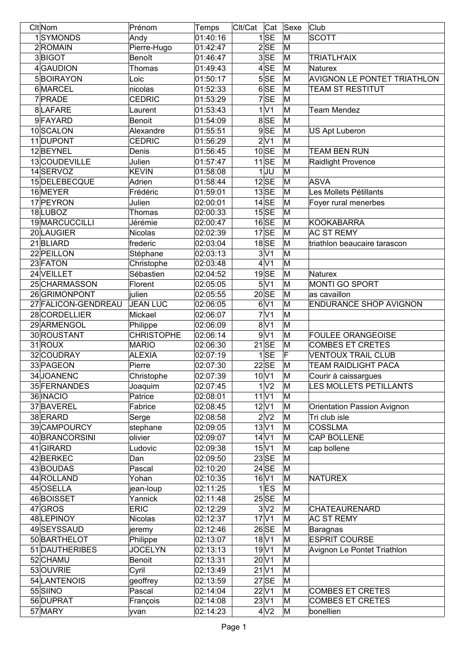| Clt Nom             | Prénom                    | Temps    | Clt/Cat<br>Cat            | Sexe | Club                          |
|---------------------|---------------------------|----------|---------------------------|------|-------------------------------|
| 1SYMONDS            | Andy                      | 01:40:16 | 1 SE                      | M    | <b>SCOTT</b>                  |
| 2ROMAIN             | Pierre-Hugo               | 01:42:47 | 2SE                       | M    |                               |
| 3BIGOT              | Benoît                    | 01:46:47 | 3SE                       | M    | <b>TRIATLH'AIX</b>            |
| 4GAUDION            | Thomas                    | 01:49:43 | 4 SE                      | M    | Naturex                       |
| 5BOIRAYON           | Loic                      | 01:50:17 | 5SE                       | M    | AVIGNON LE PONTET TRIATHLON   |
| 6MARCEL             | nicolas                   | 01:52:33 | 6SE                       | M    | TEAM ST RESTITUT              |
| 7 PRADE             | <b>CEDRIC</b>             | 01:53:29 | 7SE                       | M    |                               |
|                     |                           |          |                           |      |                               |
| 8LAFARE             | Laurent                   | 01:53:43 | 1 V1                      | M    | <b>Team Mendez</b>            |
| 9FAYARD             | <b>Benoit</b>             | 01:54:09 | 8SE                       | M    |                               |
| 10SCALON            | Alexandre                 | 01:55:51 | 9SE                       | M    | US Apt Luberon                |
| 11 DUPONT           | <b>CEDRIC</b>             | 01:56:29 | 2 V1                      | M    |                               |
| 12BEYNEL            | Denis                     | 01:56:45 | $10$ SE                   | M    | <b>TEAM BEN RUN</b>           |
| 13COUDEVILLE        | Julien                    | 01:57:47 | $11$ SE                   | M    | Raidlight Provence            |
| 14SERVOZ            | <b>KEVIN</b>              | 01:58:08 | $1$ UU                    | M    |                               |
| 15 DELEBECQUE       | Adrien                    | 01:58:44 | $12$ SE                   | M    | <b>ASVA</b>                   |
| 16 MEYER            | Frédéric                  | 01:59:01 | $13\overline{\text{SE}}$  | M    | Les Mollets Pétillants        |
| 17 PEYRON           | Julien                    | 02:00:01 | $14$ SE                   | M    | Foyer rural menerbes          |
| 18LUBOZ             | Thomas                    | 02:00:33 | $15$ SE                   | M    |                               |
| 19 MARCUCCILLI      | Jérémie                   | 02:00:47 | $16$ SE                   | M    | <b>KOOKABARRA</b>             |
| 20 LAUGIER          | Nicolas                   | 02:02:39 | $17$ SE                   | M    | <b>AC ST REMY</b>             |
| 21 BLIARD           | frederic                  | 02:03:04 | $18$ SE                   | M    | triathlon beaucaire tarascon  |
| 22 PEILLON          | Stéphane                  | 02:03:13 | $3\overline{\mathrm{V1}}$ | M    |                               |
| 23 FATON            | Christophe                | 02:03:48 | 4V1                       | M    |                               |
| 24 VEILLET          | Sébastien                 | 02:04:52 | $19$ SE                   | M    | Naturex                       |
| 25 CHARMASSON       | Florent                   | 02:05:05 | 5V1                       | M    | MONTI GO SPORT                |
| 26 GRIMONPONT       |                           |          | $20$ SE                   | M    | as cavaillon                  |
|                     | julien<br><b>JEAN LUC</b> | 02:05:55 |                           |      |                               |
| 27 FALICON-GENDREAU |                           | 02:06:05 | 6V1                       | M    | <b>ENDURANCE SHOP AVIGNON</b> |
| 28 CORDELLIER       | Mickael                   | 02:06:07 | 7 <sup>1</sup>            | M    |                               |
| 29 ARMENGOL         | Philippe                  | 02:06:09 | 8 <sup>1</sup>            | M    |                               |
| 30 ROUSTANT         | <b>CHRISTOPHE</b>         | 02:06:14 | 9V1                       | M    | <b>FOULEE ORANGEOISE</b>      |
| $31$ ROUX           | <b>MARIO</b>              | 02:06:30 | $21$ SE                   | M    | <b>COMBES ET CRETES</b>       |
| 32 COUDRAY          | <b>ALEXIA</b>             | 02:07:19 | 1 SE                      | IF   | <b>VENTOUX TRAIL CLUB</b>     |
| 33 PAGEON           | Pierre                    | 02:07:30 | $22$ SE                   | M    | <b>TEAM RAIDLIGHT PACA</b>    |
| 34 JOANENC          | Christophe                | 02:07:39 | $10\text{V}1$             | M    | Courir à caissargues          |
| 35 FERNANDES        | Joaquim                   | 02:07:45 | 1 <sup>1</sup>            | M    | LES MOLLETS PETILLANTS        |
| 36 INACIO           | Patrice                   | 02:08:01 | $11$ $V1$                 | M    |                               |
| 37 BAVEREL          | Fabrice                   | 02:08:45 | $12$ V1                   | M    | Orientation Passion Avignon   |
| 38 ERARD            | Serge                     | 02:08:58 | 2 <sup>N</sup> 2          | M    | Tri club isle                 |
| 39 CAMPOURCY        | stephane                  | 02:09:05 | 13 <sub>V</sub> 1         | M    | <b>COSSLMA</b>                |
| 40 BRANCORSINI      | olivier                   | 02:09:07 | 14 <sup>V</sup> 1         | M    | CAP BOLLENE                   |
| 41 GIRARD           | Ludovic                   | 02:09:38 | $15\text{V}1$             | M    | cap bollene                   |
| 42BERKEC            | Dan                       | 02:09:50 | $23$ SE                   | M    |                               |
| 43BOUDAS            | Pascal                    | 02:10:20 | $24$ SE                   | M    |                               |
| 44 ROLLAND          | Yohan                     | 02:10:35 | $16$ V1                   | M    | <b>NATUREX</b>                |
| 45 OSELLA           | jean-loup                 | 02:11:25 | $1$ ES                    | M    |                               |
| 46BOISSET           | Yannick                   | 02:11:48 | 25 SE                     | M    |                               |
| 47 GROS             | <b>ERIC</b>               | 02:12:29 | 3 <sub>2</sub>            | M    | <b>CHATEAURENARD</b>          |
| 48 LEPINOY          | <b>Nicolas</b>            | 02:12:37 | $17$ V1                   | M    | <b>AC ST REMY</b>             |
|                     |                           |          |                           |      |                               |
| 49SEYSSAUD          | jeremy                    | 02:12:46 | $26$ SE                   | M    | <b>Baragnas</b>               |
| 50 BARTHELOT        | Philippe                  | 02:13:07 | $18$ V1                   | M    | <b>ESPRIT COURSE</b>          |
| 51 DAUTHERIBES      | <b>JOCELYN</b>            | 02:13:13 | 19 <sup>V</sup> 1         | M    | Avignon Le Pontet Triathlon   |
| 52 CHAMU            | Benoit                    | 02:13:31 | $20$ V1                   | M    |                               |
| 53 OUVRIE           | Cyril                     | 02:13:49 | $21$ V1                   | M    |                               |
| 54 LANTENOIS        | geoffrey                  | 02:13:59 | $27$ SE                   | M    |                               |
| 55 SIINO            | Pascal                    | 02:14:04 | 22 <sub>V1</sub>          | M    | <b>COMBES ET CRETES</b>       |
| 56 DUPRAT           |                           |          | $23$ V1                   | M    | <b>COMBES ET CRETES</b>       |
|                     | François                  | 02:14:08 | 4 <sup>2</sup>            |      |                               |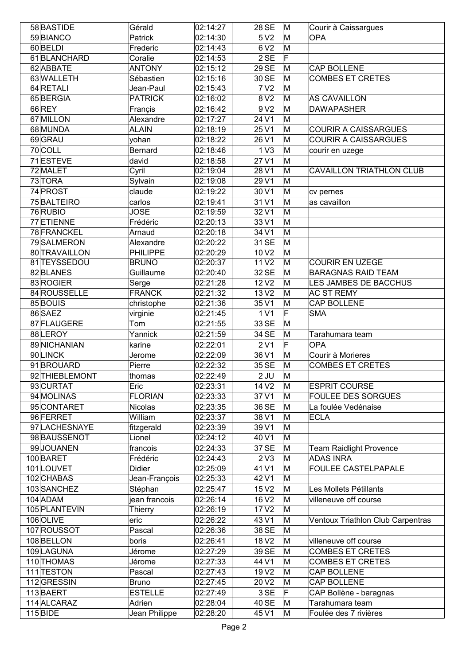| 58BASTIDE      | Gérald          | 02:14:27           | $28$ SE                    | M | Courir à Caissargues              |
|----------------|-----------------|--------------------|----------------------------|---|-----------------------------------|
| 59 BIANCO      | Patrick         | 02:14:30           | 5V <sub>2</sub>            | M | <b>OPA</b>                        |
| 60BELDI        | Frederic        | 02:14:43           | 6V2                        | M |                                   |
| 61 BLANCHARD   | Coralie         | 02:14:53           | 2SE                        | F |                                   |
| 62 ABBATE      | <b>ANTONY</b>   | $\sqrt{0}$ 2:15:12 | $29$ SE                    | M | CAP BOLLENE                       |
| 63 WALLETH     | Sébastien       | 02:15:16           | $30$ SE                    | M | <b>COMBES ET CRETES</b>           |
| 64 RETALI      | Jean-Paul       | 02:15:43           | 7 <sup>2</sup>             | M |                                   |
| 65BERGIA       | <b>PATRICK</b>  | 02:16:02           | 8 <sup>2</sup>             | M | <b>AS CAVAILLON</b>               |
| 66REY          | Françis         | 02:16:42           | 9 <sub>2</sub>             | M | <b>DAWAPASHER</b>                 |
| 67 MILLON      | Alexandre       | 02:17:27           | $24\overline{\sqrt{1}}$    | M |                                   |
| 68 MUNDA       | <b>ALAIN</b>    | 02:18:19           | $25\overline{\sqrt{1}}$    | M | <b>COURIR A CAISSARGUES</b>       |
| 69 GRAU        | yohan           | 02:18:22           | 26 V1                      | M | <b>COURIR A CAISSARGUES</b>       |
| 70COLL         | <b>Bernard</b>  | 02:18:46           | 1 <sup>1</sup>             | M | courir en uzege                   |
| 71 ESTEVE      | david           | 02:18:58           | $27$ V1                    | M |                                   |
| 72 MALET       | Cyril           | 02:19:04           | $28$ V1                    | M | <b>CAVAILLON TRIATHLON CLUB</b>   |
| 73 TORA        | Sylvain         | 02:19:08           | 29 V1                      | M |                                   |
| 74 PROST       | claude          | 02:19:22           | $30$ V1                    | M | cv pernes                         |
| 75 BALTEIRO    | carlos          | 02:19:41           | $31$ V1                    | M | as cavaillon                      |
| 76 RUBIO       | <b>JOSE</b>     | 02:19:59           | $32\overline{\mathrm{V1}}$ | M |                                   |
| 77 ETIENNE     | Frédéric        | 02:20:13           | $33\text{V}1$              | M |                                   |
| 78 FRANCKEL    | Arnaud          | 02:20:18           | 34 V1                      | M |                                   |
| 79 SALMERON    | Alexandre       | 02:20:22           | $31$ SE                    | M |                                   |
| 80 TRAVAILLON  | <b>PHILIPPE</b> | 02:20:29           | $10\overline{\text{V2}}$   | M |                                   |
| 81 TEYSSEDOU   | <b>BRUNO</b>    | 02:20:37           | 11 <sup>2</sup>            | M | <b>COURIR EN UZEGE</b>            |
| 82BLANES       | Guillaume       | 02:20:40           | $32$ SE                    | M | <b>BARAGNAS RAID TEAM</b>         |
| 83 ROGIER      | Serge           | 02:21:28           | $12$ $V2$                  | M | LES JAMBES DE BACCHUS             |
| 84 ROUSSELLE   | <b>FRANCK</b>   | 02:21:32           | 13 <sub>N2</sub>           | M | <b>AC ST REMY</b>                 |
| 85BOUIS        | christophe      | 02:21:36           | $35\text{V}1$              | M | <b>CAP BOLLENE</b>                |
| 86 SAEZ        | virginie        | 02:21:45           | 1 <sup>1</sup>             | F | <b>SMA</b>                        |
| 87 FLAUGERE    | Tom             | 02:21:55           | 33 SE                      | M |                                   |
| 88 LEROY       | Yannick         | 02:21:59           | $34$ SE                    | M | Tarahumara team                   |
| 89 NICHANIAN   | karine          | 02:22:01           | 2 <sup>1</sup>             | F | <b>OPA</b>                        |
| 90LINCK        | Jerome          | 02:22:09           | 36V1                       | M | Courir à Morieres                 |
| 91BROUARD      | Pierre          | 02:22:32           | $35$ SE                    | M | <b>COMBES ET CRETES</b>           |
| 92 THIEBLEMONT | thomas          | 02:22:49           | $2$ UU                     | M |                                   |
| 93 CURTAT      | Eric            | 02:23:31           | 14 <sub>V2</sub>           | M | <b>ESPRIT COURSE</b>              |
| 94 MOLINAS     | <b>FLORIAN</b>  | 02:23:33           | $37$ V1                    | M | <b>FOULEE DES SORGUES</b>         |
| 95 CONTARET    | Nicolas         | 02:23:35           | 36 SE                      | M | La foulée Vedénaise               |
| 96 FERRET      | William         | 02:23:37           | 38 V1                      | M | <b>ECLA</b>                       |
| 97 LACHESNAYE  | fitzgerald      | 02:23:39           | 39 V1                      | M |                                   |
| 98 BAUSSENOT   | Lionel          | 02:24:12           | 40 V1                      | M |                                   |
| 99JOUANEN      | francois        | 02:24:33           | $37$ SE                    | M | <b>Team Raidlight Provence</b>    |
| 100 BARET      | Frédéric        | 02:24:43           | $2\sqrt{3}$                | M | <b>ADAS INRA</b>                  |
| 101 LOUVET     | <b>Didier</b>   | 02:25:09           | $41$ V1                    | M | <b>FOULEE CASTELPAPALE</b>        |
| 102 CHABAS     | Jean-François   | 02:25:33           | 42 V1                      | M |                                   |
| 103 SANCHEZ    | Stéphan         | 02:25:47           | 15V2                       | M | Les Mollets Pétillants            |
| $104$ ADAM     | jean francois   | 02:26:14           | $16$ $V2$                  | M | villeneuve off course             |
| 105 PLANTEVIN  | Thierry         | 02:26:19           | 17 <sup>2</sup>            | M |                                   |
| 106 OLIVE      | eric            | 02:26:22           | 43 V1                      | M | Ventoux Triathlon Club Carpentras |
| 107 ROUSSOT    | Pascal          | 02:26:36           | 38 SE                      | M |                                   |
| 108BELLON      | boris           | 02:26:41           | 18 <sup>2</sup>            | M | villeneuve off course             |
| 109 LAGUNA     | Jérome          | 02:27:29           | 39SE                       | M | <b>COMBES ET CRETES</b>           |
| 110 THOMAS     | Jérome          | 02:27:33           | $44\overline{\mathrm{V1}}$ | M | <b>COMBES ET CRETES</b>           |
| 111 TESTON     | Pascal          | 02:27:43           | 19 <sub>V2</sub>           | M | <b>CAP BOLLENE</b>                |
| 112GRESSIN     | <b>Bruno</b>    | 02:27:45           | $20\text{V}2$              | M | <b>CAP BOLLENE</b>                |
| 113BAERT       | <b>ESTELLE</b>  | 02:27:49           | 3SE                        | F | CAP Bollène - baragnas            |
| 114 ALCARAZ    | Adrien          | 02:28:04           | $40$ SE                    | M | Tarahumara team                   |
| 115 BIDE       | Jean Philippe   | 02:28:20           | 45 V1                      | M | Foulée des 7 rivières             |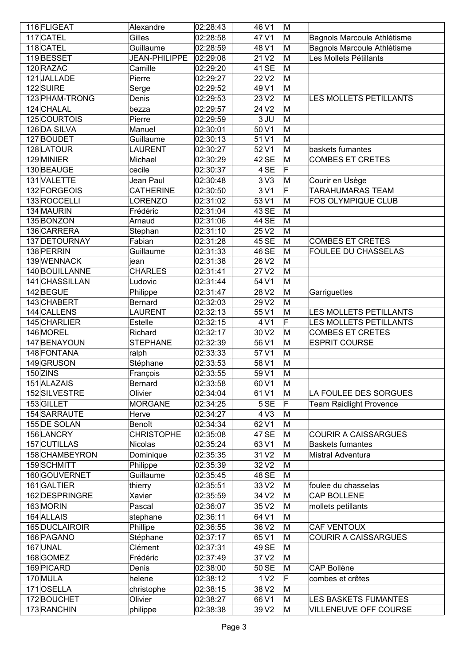| 116 FLIGEAT    | Alexandre            | 02:28:43 | 46 V1                       | M  |                                            |
|----------------|----------------------|----------|-----------------------------|----|--------------------------------------------|
| 117 CATEL      | Gilles               | 02:28:58 | 47 V1                       | M  | Bagnols Marcoule Athlétisme                |
| 118 CATEL      | Guillaume            | 02:28:59 | 48 V1                       | M  | Bagnols Marcoule Athlétisme                |
| 119BESSET      | <b>JEAN-PHILIPPE</b> | 02:29:08 | $21\overline{\overline{2}}$ | M  | Les Mollets Pétillants                     |
| 120 RAZAC      | Camille              | 02:29:20 | $41$ SE                     | M  |                                            |
| 121JALLADE     | Pierre               | 02:29:27 | 22 V2                       | M  |                                            |
| 122 SUIRE      | Serge                | 02:29:52 | 49 V1                       | M  |                                            |
| 123 PHAM-TRONG | Denis                | 02:29:53 | 23V2                        | M  | LES MOLLETS PETILLANTS                     |
| 124 CHALAL     | bezza                | 02:29:57 | $24$ $V2$                   | M  |                                            |
| 125 COURTOIS   | Pierre               | 02:29:59 | 3JU                         | M  |                                            |
| 126 DA SILVA   | Manuel               | 02:30:01 | 50 V1                       | M  |                                            |
| 127BOUDET      | Guillaume            | 02:30:13 | 51 V1                       | M  |                                            |
| 128 LATOUR     | <b>LAURENT</b>       | 02:30:27 | 52 V1                       | M  | baskets fumantes                           |
| 129 MINIER     | Michael              | 02:30:29 | $42$ SE                     | M  | <b>COMBES ET CRETES</b>                    |
| 130BEAUGE      | cecile               | 02:30:37 | 4SE                         | F  |                                            |
| 131 VALETTE    | Jean Paul            | 02:30:48 | 3V3                         | M  |                                            |
| 132 FORGEOIS   |                      |          | 3 V1                        | F  | Courir en Usège<br><b>TARAHUMARAS TEAM</b> |
|                | <b>CATHERINE</b>     | 02:30:50 |                             |    |                                            |
| 133ROCCELLI    | <b>LORENZO</b>       | 02:31:02 | 53 V1                       | ΙM | FOS OLYMPIQUE CLUB                         |
| 134 MAURIN     | Frédéric             | 02:31:04 | $43$ SE                     | M  |                                            |
| 135BONZON      | Arnaud               | 02:31:06 | $44$ SE                     | M  |                                            |
| 136 CARRERA    | Stephan              | 02:31:10 | $25\text{V}2$               | M  |                                            |
| 137 DETOURNAY  | Fabian               | 02:31:28 | $45$ SE                     | M  | <b>COMBES ET CRETES</b>                    |
| 138 PERRIN     | Guillaume            | 02:31:33 | 46 SE                       | M  | <b>FOULEE DU CHASSELAS</b>                 |
| 139WENNACK     | ∣iean                | 02:31:38 | 26 V2                       | M  |                                            |
| 140 BOUILLANNE | <b>CHARLES</b>       | 02:31:41 | $27$ $V2$                   | M  |                                            |
| 141 CHASSILLAN | Ludovic              | 02:31:44 | 54 V1                       | M  |                                            |
| 142BEGUE       | Philippe             | 02:31:47 | 28 V <sub>2</sub>           | M  | Garriguettes                               |
| 143CHABERT     | Bernard              | 02:32:03 | 29 V <sub>2</sub>           | M  |                                            |
| 144 CALLENS    | <b>LAURENT</b>       | 02:32:13 | 55 V1                       | M  | <b>LES MOLLETS PETILLANTS</b>              |
| 145 CHARLIER   | Estelle              | 02:32:15 | 4 <sup>1</sup>              | F  | <b>LES MOLLETS PETILLANTS</b>              |
| 146 MOREL      | Richard              | 02:32:17 | 30V2                        | M  | <b>COMBES ET CRETES</b>                    |
| 147 BENAYOUN   | <b>STEPHANE</b>      | 02:32:39 | 56 V1                       | M  | <b>ESPRIT COURSE</b>                       |
| 148 FONTANA    | ralph                | 02:33:33 | 57 V1                       | M  |                                            |
| 149GRUSON      | Stéphane             | 02:33:53 | 58 V1                       | M  |                                            |
| 150 ZINS       | François             | 02:33:55 | 59 V1                       | M  |                                            |
| 151 ALAZAIS    | Bernard              | 02:33:58 | 60 V1                       | M  |                                            |
| 152 SILVESTRE  | Olivier              | 02:34:04 | 61 <sub>V1</sub>            | M  | LA FOULEE DES SORGUES                      |
| 153 GILLET     | <b>MORGANE</b>       | 02:34:25 | 5SE                         | F  | <b>Team Raidlight Provence</b>             |
| 154 SARRAUTE   | Herve                | 02:34:27 | 4 <sup>2</sup>              | M  |                                            |
| 155 DE SOLAN   | Benoît               | 02:34:34 | $62$ V1                     | M  |                                            |
| 156 LANCRY     | <b>CHRISTOPHE</b>    | 02:35:08 | $47$ SE                     | M  | <b>COURIR A CAISSARGUES</b>                |
| 157 CUTILLAS   | Nicolas              | 02:35:24 | 63 V1                       | M  | <b>Baskets fumantes</b>                    |
| 158 CHAMBEYRON | Dominique            | 02:35:35 | $31$ $V2$                   | M  | <b>Mistral Adventura</b>                   |
| 159SCHMITT     | Philippe             | 02:35:39 | $32\text{V}2$               | M  |                                            |
| 160 GOUVERNET  | Guillaume            | 02:35:45 | $48$ SE                     | M  |                                            |
| 161 GALTIER    | thierry              | 02:35:51 | 33 V2                       | M  | foulee du chasselas                        |
| 162 DESPRINGRE | Xavier               | 02:35:59 | 34 <sub>V2</sub>            | M  | <b>CAP BOLLENE</b>                         |
| 163 MORIN      | Pascal               | 02:36:07 | $35\text{V}2$               | M  | mollets petillants                         |
| 164 ALLAIS     | stephane             | 02:36:11 | 64 V1                       | M  |                                            |
| 165 DUCLAIROIR | Phillipe             | 02:36:55 | 36 V2                       | M  | CAF VENTOUX                                |
|                |                      |          | 65 V1                       | M  | <b>COURIR A CAISSARGUES</b>                |
| 166 PAGANO     | Stéphane             | 02:37:17 |                             |    |                                            |
| 167 UNAL       | Clément              | 02:37:31 | $49$ SE                     | M  |                                            |
| 168 GOMEZ      | Frédéric             | 02:37:49 | 37 <sub>N2</sub>            | M  |                                            |
| 169 PICARD     | Denis                | 02:38:00 | $50$ SE                     | M  | <b>CAP Bollène</b>                         |
| 170 MULA       | helene               | 02:38:12 | 1 <sub>2</sub>              | F  | combes et crêtes                           |
| 171 OSELLA     | christophe           | 02:38:15 | 38 V <sub>2</sub>           | M  |                                            |
| 172BOUCHET     | Olivier              | 02:38:27 | 66 V1                       | M  | <b>LES BASKETS FUMANTES</b>                |
| 173 RANCHIN    | philippe             | 02:38:38 | 39V2                        | M  | VILLENEUVE OFF COURSE                      |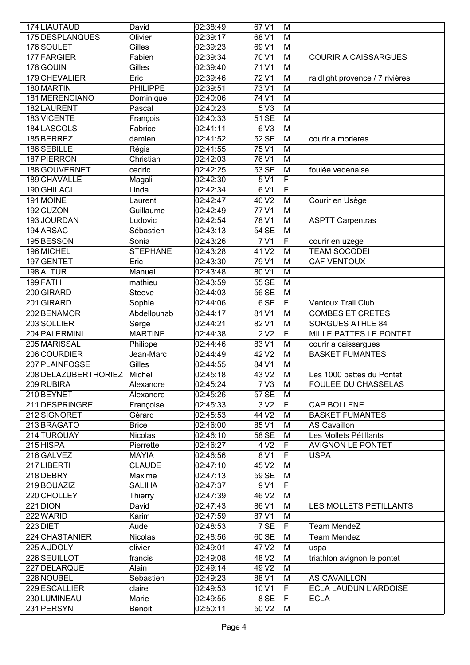| 174 LIAUTAUD               | David           | 02:38:49             | $67$ V1                    | M      |                                 |
|----------------------------|-----------------|----------------------|----------------------------|--------|---------------------------------|
| 175 DESPLANQUES            | Olivier         | 02:39:17             | $68\overline{\mathrm{V1}}$ | M      |                                 |
| 176 SOULET                 | Gilles          | 02:39:23             | $69\overline{\mathrm{V1}}$ | M      |                                 |
| 177 FARGIER                | Fabien          | 02:39:34             | 70 V1                      | M      | <b>COURIR A CAISSARGUES</b>     |
| 178 GOUIN                  | Gilles          | 02:39:40             | 71 <sub>V1</sub>           | M      |                                 |
|                            |                 |                      |                            |        |                                 |
| 179 CHEVALIER              | Eric            | 02:39:46             | 72V1                       | M      | raidlight provence / 7 rivières |
| 180 MARTIN                 | <b>PHILIPPE</b> | 02:39:51             | 73 V1                      | M      |                                 |
| 181 MERENCIANO             | Dominique       | 02:40:06             | 74 V1                      | M      |                                 |
| 182 LAURENT                | Pascal          | 02:40:23             | 5 <sup>N</sup> 3           | M      |                                 |
| 183 VICENTE                | François        | 02:40:33             | $51$ SE                    | M      |                                 |
| 184 LASCOLS                | Fabrice         | 02:41:11             | $6\overline{\text{V3}}$    | M      |                                 |
| 185BERREZ                  | damien          | 02:41:52             | $52$ SE                    | M      | courir a morieres               |
| 186SEBILLE                 | Régis           | 02:41:55             | 75 V1                      | M      |                                 |
| 187 PIERRON                | Christian       | 02:42:03             | 76 V1                      | M      |                                 |
| 188 GOUVERNET              | cedric          | 02:42:25             | $53$ SE                    | M      | foulée vedenaise                |
| 189CHAVALLE                | Magali          | 02:42:30             | 5V1                        | F      |                                 |
| 190 GHILACI                | Linda           | 02:42:34             | 6V1                        | F      |                                 |
| 191 MOINE                  | Laurent         | 02:42:47             | 40 V <sub>2</sub>          | M      | Courir en Usège                 |
| 192CUZON                   | Guillaume       | 02:42:49             | 77 <sub>V1</sub>           | M      |                                 |
| 193JOURDAN                 | Ludovic         |                      | 78 V1                      | M      |                                 |
|                            |                 | 02:42:54             |                            |        | <b>ASPTT Carpentras</b>         |
| 194 ARSAC                  | Sébastien       | 02:43:13             | $54$ SE                    | M      |                                 |
| 195BESSON                  | Sonia           | 02:43:26             | 7 <sup>1</sup>             | F      | courir en uzege                 |
| 196 MICHEL                 | <b>STEPHANE</b> | 02:43:28             | $41$ V <sub>2</sub>        | M      | <b>TEAM SOCODEI</b>             |
| 197 GENTET                 | Eric            | 02:43:30             | 79 V1                      | M      | CAF VENTOUX                     |
| 198 ALTUR                  | Manuel          | 02:43:48             | 80 V1                      | M      |                                 |
| 199FATH                    | mathieu         | 02:43:59             | $55$ SE                    | M      |                                 |
| 200GIRARD                  | <b>Steeve</b>   | 02:44:03             | 56 SE                      | M      |                                 |
| 201GIRARD                  | Sophie          | 02:44:06             | $6$ SE                     | F      | <b>Ventoux Trail Club</b>       |
| 202 BENAMOR                | Abdellouhab     | 02:44:17             | $81$ V1                    | M      | <b>COMBES ET CRETES</b>         |
| 203SOLLIER                 | Serge           | 02:44:21             | $82\overline{\mathrm{V1}}$ | M      | <b>SORGUES ATHLE 84</b>         |
| 204 PALERMINI              | <b>MARTINE</b>  | 02:44:38             | 2 <sup>N</sup> 2           | F      | MILLE PATTES LE PONTET          |
| 205 MARISSAL               | Philippe        | 02:44:46             | 83 V1                      | M      | courir a caissargues            |
| 206COURDIER                | Jean-Marc       | 02:44:49             | 42 V <sub>2</sub>          | M      | <b>BASKET FUMANTES</b>          |
|                            |                 |                      |                            |        |                                 |
| 207 PLAINFOSSE             | Gilles          | 02:44:55             | 84 V1<br>43V2              | M      |                                 |
|                            |                 |                      |                            | M      | Les 1000 pattes du Pontet       |
| 208 DELAZUBERTHORIEZ       | Michel          | 02:45:18             |                            |        |                                 |
| 209 RUBIRA                 | Alexandre       | 02:45:24             | 7 <sup>1</sup>             | M      | <b>FOULEE DU CHASSELAS</b>      |
| 210 BEYNET                 | Alexandre       | 02:45:26             | $57$ $SE$                  | M      |                                 |
| 211 DESPRINGRE             | Françoise       | 02:45:33             | 3 <sub>N2</sub>            | F      | CAP BOLLENE                     |
| 212 SIGNORET               | Gérard          | 02:45:53             | 44 V <sub>2</sub>          | M      | <b>BASKET FUMANTES</b>          |
| 213BRAGATO                 | <b>Brice</b>    | 02:46:00             | 85 V1                      | M      | <b>AS Cavaillon</b>             |
| 214 TURQUAY                | Nicolas         | 02:46:10             | 58SE                       | M      | Les Mollets Pétillants          |
| 215 HISPA                  | Pierrette       | 02:46:27             | 4 <sub>V2</sub>            | F      | <b>AVIGNON LE PONTET</b>        |
| 216 GALVEZ                 | <b>MAYIA</b>    | 02:46:56             | 8 <sup>1</sup>             | F      | <b>USPA</b>                     |
| 217LIBERTI                 | <b>CLAUDE</b>   | 02:47:10             | 45 V2                      | M      |                                 |
| 218 DEBRY                  | Maxime          | 02:47:13             | 59 SE                      | M      |                                 |
| 219 BOUAZIZ                | <b>SALIHA</b>   |                      | 9 <sup>1</sup>             | F      |                                 |
|                            |                 | 02:47:37             |                            |        |                                 |
| 220 CHOLLEY                | Thierry         | 02:47:39             | 46 V <sub>2</sub>          | M<br>M |                                 |
| $221$ DION                 | David           | 02:47:43             | 86 V1                      |        | LES MOLLETS PETILLANTS          |
| 222 WARID                  | Karim           | 02:47:59             | 87 V1                      | M      |                                 |
| 223 DIET                   | Aude            | 02:48:53             | 7SE                        | F      | <b>Team MendeZ</b>              |
| 224 CHASTANIER             | Nicolas         | 02:48:56             | 60 SE                      | M      | <b>Team Mendez</b>              |
| 225 AUDOLY                 | olivier         | 02:49:01             | 47 V2                      | M      | uspa                            |
| 226 SEUILLOT               | francis         | 02:49:08             | 48 V <sub>2</sub>          | M      | triathlon avignon le pontet     |
| 227 DELARQUE               | Alain           | 02:49:14             | 49 V <sub>2</sub>          | M      |                                 |
| 228 NOUBEL                 | Sébastien       | 02:49:23             | 88 V1                      | M      | <b>AS CAVAILLON</b>             |
| 229 ESCALLIER              | claire          | 02:49:53             | $10\text{V}1$              | F      | ECLA LAUDUN L'ARDOISE           |
| 230 LUMINEAU<br>231 PERSYN | Marie           | 02:49:55<br>02:50:11 | 8SE<br>$50\text{V}2$       | F<br>M | <b>ECLA</b>                     |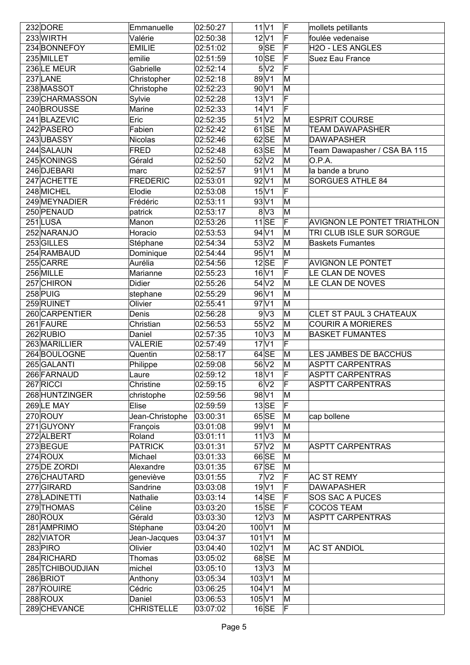| 232 DORE         | Emmanuelle        | 02:50:27 |                             | 11 V1                      | F  | mollets petillants                 |
|------------------|-------------------|----------|-----------------------------|----------------------------|----|------------------------------------|
| 233 WIRTH        | Valérie           | 02:50:38 |                             | $12\text{V}1$              | F  | foulée vedenaise                   |
| 234 BONNEFOY     | <b>EMILIE</b>     | 02:51:02 |                             | $9$ SE                     | F  | H2O - LES ANGLES                   |
| 235 MILLET       | emilie            | 02:51:59 |                             | $10$ SE                    |    | Suez Eau France                    |
| 236 LE MEUR      | Gabrielle         | 02:52:14 |                             | 5 <sup>N</sup> 2           |    |                                    |
| 237 LANE         | Christopher       | 02:52:18 |                             | 89 V1                      | M  |                                    |
| 238 MASSOT       | Christophe        | 02:52:23 |                             | 90 V1                      | M  |                                    |
| 239 CHARMASSON   | Sylvie            | 02:52:28 |                             | 13 V1                      | F  |                                    |
| 240 BROUSSE      | Marine            | 02:52:33 |                             | $14$ V1                    | F  |                                    |
| 241 BLAZEVIC     | Eric              | 02:52:35 |                             | $51$ $V2$                  | M  | <b>ESPRIT COURSE</b>               |
| 242 PASERO       | Fabien            | 02:52:42 |                             | $61$ SE                    | M  | <b>TEAM DAWAPASHER</b>             |
| 243 UBASSY       | Nicolas           | 02:52:46 |                             | $62$ SE                    | M  | <b>DAWAPASHER</b>                  |
|                  |                   |          |                             |                            |    |                                    |
| 244 SALAUN       | <b>FRED</b>       | 02:52:48 |                             | $63$ SE                    | M  | Team Dawapasher / CSA BA 115       |
| 245 KONINGS      | Gérald            | 02:52:50 |                             | $52$ $V2$                  | M  | O.P.A.                             |
| 246 DJEBARI      | marc              | 02:52:57 |                             | $91$ V1                    | ΙM | la bande a bruno                   |
| 247 ACHETTE      | FREDERIC          | 02:53:01 |                             | 92 V1                      | M  | <b>SORGUES ATHLE 84</b>            |
| 248 MICHEL       | Elodie            | 02:53:08 |                             | $15$ V1                    | F  |                                    |
| 249 MEYNADIER    | Frédéric          | 02:53:11 |                             | 93 V1                      | M  |                                    |
| 250 PENAUD       | patrick           | 02:53:17 |                             | 8 <sup>1</sup>             | M  |                                    |
| 251LUSA          | Manon             | 02:53:26 |                             | $11$ SE                    | F  | <b>AVIGNON LE PONTET TRIATHLON</b> |
| 252 NARANJO      | Horacio           | 02:53:53 |                             | 94 V1                      | M  | TRI CLUB ISLE SUR SORGUE           |
| 253 GILLES       | Stéphane          | 02:54:34 |                             | $53\overline{\mathrm{V2}}$ | M  | <b>Baskets Fumantes</b>            |
| 254 RAMBAUD      | Dominique         | 02:54:44 |                             | 95 V1                      | M  |                                    |
| 255 CARRE        | Aurélia           | 02:54:56 |                             | $12$ SE                    | F  | <b>AVIGNON LE PONTET</b>           |
| 256 MILLE        | Marianne          | 02:55:23 |                             | 16 V1                      | F  | LE CLAN DE NOVES                   |
| 257 CHIRON       | <b>Didier</b>     | 02:55:26 |                             | 54 <sup>2</sup>            | M  | LE CLAN DE NOVES                   |
| 258 PUIG         |                   | 02:55:29 |                             | 96 V1                      | M  |                                    |
| 259 RUINET       | stephane          |          |                             | 97 V1                      | M  |                                    |
|                  | Olivier           | 02:55:41 |                             |                            |    |                                    |
| 260 CARPENTIER   | Denis             | 02:56:28 |                             | 9 <sup>1</sup>             | M  | CLET ST PAUL 3 CHATEAUX            |
| 261 FAURE        | Christian         | 02:56:53 |                             | 55 V2                      | M  | <b>COURIR A MORIERES</b>           |
| 262 RUBIO        | Daniel            | 02:57:35 |                             | $10\text{V}3$              | M  | <b>BASKET FUMANTES</b>             |
| 263 MARILLIER    | <b>VALERIE</b>    | 02:57:49 |                             | $17$ V1                    | F  |                                    |
| 264 BOULOGNE     | Quentin           | 02:58:17 |                             | $64$ SE                    | M  | LES JAMBES DE BACCHUS              |
| 265 GALANTI      | Philippe          | 02:59:08 |                             | 56 V <sub>2</sub>          | M  | <b>ASPTT CARPENTRAS</b>            |
| 266 FARNAUD      | Laure             | 02:59:12 |                             | $18$ V1                    | F  | <b>ASPTT CARPENTRAS</b>            |
| 267 RICCI        | Christine         | 02:59:15 |                             | 6 <sup>2</sup>             | F  | <b>ASPTT CARPENTRAS</b>            |
| 268 HUNTZINGER   | christophe        | 02:59:56 |                             | 98 V1                      | M  |                                    |
| 269 LE MAY       | Elise             | 02:59:59 |                             | $13$ SE                    | F  |                                    |
| 270 ROUY         | Jean-Christophe   | 03:00:31 |                             | 65 SE                      | M  | cap bollene                        |
| $271$ GUYONY     | François          | 03:01:08 |                             | 99 V1                      | M  |                                    |
| 272 ALBERT       | Roland            | 03:01:11 |                             | 11 <sup>1</sup>            | M  |                                    |
| 273BEGUE         | <b>PATRICK</b>    | 03:01:31 |                             | 57 V2                      | M  | <b>ASPTT CARPENTRAS</b>            |
| 274 ROUX         | Michael           | 03:01:33 |                             | 66 SE                      | M  |                                    |
| 275 DE ZORDI     | Alexandre         | 03:01:35 |                             | $67$ SE                    | M  |                                    |
| 276 CHAUTARD     | geneviève         | 03:01:55 |                             | 7 <sup>2</sup>             | F  | <b>AC ST REMY</b>                  |
| 277 GIRARD       | Sandrine          | 03:03:08 |                             | 19 <sup>1</sup>            | F  | <b>DAWAPASHER</b>                  |
| 278 LADINETTI    | Nathalie          | 03:03:14 |                             | $14$ SE                    | F  | SOS SAC A PUCES                    |
| 279 THOMAS       | Céline            | 03:03:20 |                             | $15$ SE                    | F  | <b>COCOS TEAM</b>                  |
| 280 ROUX         | Gérald            | 03:03:30 |                             | $12\sqrt{3}$               | M  | <b>ASPTT CARPENTRAS</b>            |
|                  |                   |          |                             |                            |    |                                    |
| 281 AMPRIMO      | Stéphane          | 03:04:20 | 100 V1<br>101 <sub>V1</sub> |                            | M  |                                    |
| 282 VIATOR       | Jean-Jacques      | 03:04:37 |                             |                            | M  |                                    |
| $283$ PIRO       | Olivier           | 03:04:40 | 102 V1                      |                            | M  | <b>AC ST ANDIOL</b>                |
| 284 RICHARD      | Thomas            | 03:05:02 |                             | $68$ SE                    | M  |                                    |
| 285 TCHIBOUDJIAN | michel            | 03:05:10 |                             | $13\text{V}3$              | M  |                                    |
| 286 BRIOT        | Anthony           | 03:05:34 | 103 V1                      |                            | M  |                                    |
| 287 ROUIRE       | Cédric            | 03:06:25 | $104$ V1                    |                            | M  |                                    |
| 288 ROUX         | Daniel            | 03:06:53 | 105 V1                      |                            | M  |                                    |
| 289 CHEVANCE     | <b>CHRISTELLE</b> | 03:07:02 |                             | $16$ SE                    | F  |                                    |